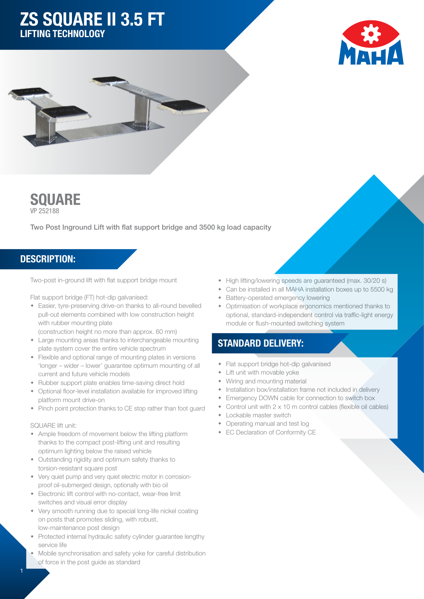# ZS SQUARE II 3.5 FT LIFTING TECHNOLOGY







Two Post Inground Lift with flat support bridge and 3500 kg load capacity

### DESCRIPTION:

Two-post in-ground lift with flat support bridge mount

Flat support bridge (FT) hot-dip galvanised:

- Easier, tyre-preserving drive-on thanks to all-round bevelled pull-out elements combined with low construction height with rubber mounting plate
- (construction height no more than approx. 60 mm)
- Large mounting areas thanks to interchangeable mounting plate system cover the entire vehicle spectrum
- Flexible and optional range of mounting plates in versions 'longer – wider – lower' guarantee optimum mounting of all current and future vehicle models
- Rubber support plate enables time-saving direct hold
- Optional floor-level installation available for improved lifting platform mount drive-on
- Pinch point protection thanks to CE stop rather than foot guard

#### SQUARE lift unit:

- Ample freedom of movement below the lifting platform thanks to the compact post-lifting unit and resulting optimum lighting below the raised vehicle
- Outstanding rigidity and optimum safety thanks to torsion-resistant square post
- Very quiet pump and very quiet electric motor in corrosionproof oil-submerged design, optionally with bio oil
- **Electronic lift control with no-contact, wear-free limit** switches and visual error display
- Very smooth running due to special long-life nickel coating on posts that promotes sliding, with robust, low-maintenance post design
- Protected internal hydraulic safety cylinder quarantee lengthy service life
- Mobile synchronisation and safety yoke for careful distribution of force in the post guide as standard
- High lifting/lowering speeds are guaranteed (max. 30/20 s)
- Can be installed in all MAHA installation boxes up to 5500 kg
- Battery-operated emergency lowering
- Optimisation of workplace ergonomics mentioned thanks to optional, standard-independent control via traffic-light energy module or flush-mounted switching system

## STANDARD DELIVERY:

- Flat support bridge hot-dip galvanised
- $\bullet$  Lift unit with movable yoke
- Wiring and mounting material
- Installation box/installation frame not included in delivery
- Emergency DOWN cable for connection to switch box
- Control unit with  $2 \times 10$  m control cables (flexible oil cables)
- $\leftarrow$  Lockable master switch
- Operating manual and test log
- **EC Declaration of Conformity CE**